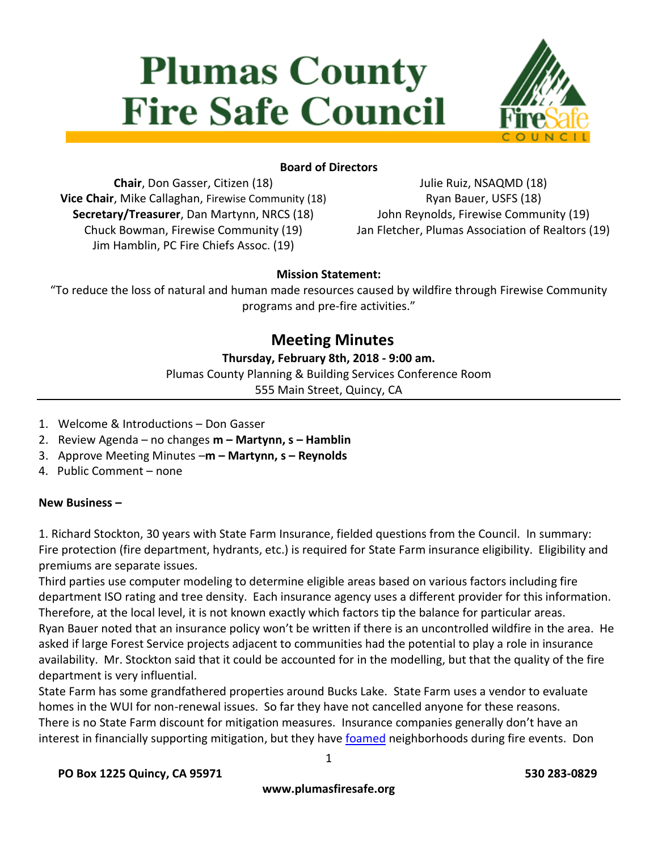# **Plumas County Fire Safe Council**



# **Board of Directors**

**Chair**, Don Gasser, Citizen (18) **Vice Chair**, Mike Callaghan, Firewise Community (18) **Secretary/Treasurer**, Dan Martynn, NRCS (18) Chuck Bowman, Firewise Community (19) Jim Hamblin, PC Fire Chiefs Assoc. (19)

Julie Ruiz, NSAQMD (18) Ryan Bauer, USFS (18) John Reynolds, Firewise Community (19) Jan Fletcher, Plumas Association of Realtors (19)

# **Mission Statement:**

"To reduce the loss of natural and human made resources caused by wildfire through Firewise Community programs and pre-fire activities."

# **Meeting Minutes**

# **Thursday, February 8th, 2018 - 9:00 am.**

Plumas County Planning & Building Services Conference Room

555 Main Street, Quincy, CA

- 1. Welcome & Introductions Don Gasser
- 2. Review Agenda no changes **m – Martynn, s – Hamblin**
- 3. Approve Meeting Minutes –**m – Martynn, s – Reynolds**
- 4. Public Comment none

#### **New Business –**

1. Richard Stockton, 30 years with State Farm Insurance, fielded questions from the Council. In summary: Fire protection (fire department, hydrants, etc.) is required for State Farm insurance eligibility. Eligibility and premiums are separate issues.

Third parties use computer modeling to determine eligible areas based on various factors including fire department ISO rating and tree density. Each insurance agency uses a different provider for this information. Therefore, at the local level, it is not known exactly which factors tip the balance for particular areas. Ryan Bauer noted that an insurance policy won't be written if there is an uncontrolled wildfire in the area. He asked if large Forest Service projects adjacent to communities had the potential to play a role in insurance availability. Mr. Stockton said that it could be accounted for in the modelling, but that the quality of the fire department is very influential.

State Farm has some grandfathered properties around Bucks Lake. State Farm uses a vendor to evaluate homes in the WUI for non-renewal issues. So far they have not cancelled anyone for these reasons. There is no State Farm discount for mitigation measures. Insurance companies generally don't have an interest in financially supporting mitigation, but they have [foamed](https://en.wikipedia.org/wiki/Firefighting_foam) neighborhoods during fire events. Don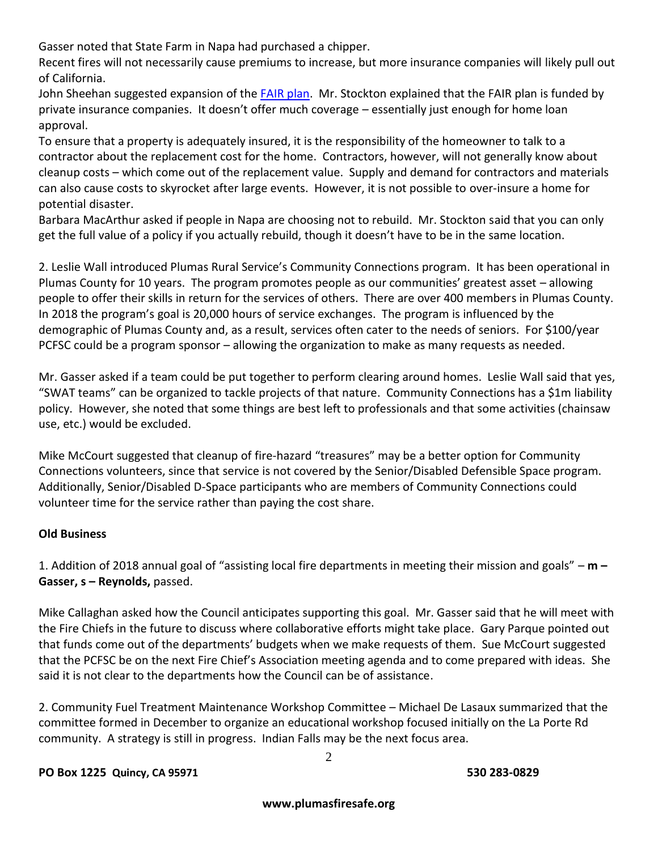Gasser noted that State Farm in Napa had purchased a chipper.

Recent fires will not necessarily cause premiums to increase, but more insurance companies will likely pull out of California.

John Sheehan suggested expansion of the [FAIR plan.](https://www.cfpnet.com/) Mr. Stockton explained that the FAIR plan is funded by private insurance companies. It doesn't offer much coverage – essentially just enough for home loan approval.

To ensure that a property is adequately insured, it is the responsibility of the homeowner to talk to a contractor about the replacement cost for the home. Contractors, however, will not generally know about cleanup costs – which come out of the replacement value. Supply and demand for contractors and materials can also cause costs to skyrocket after large events. However, it is not possible to over-insure a home for potential disaster.

Barbara MacArthur asked if people in Napa are choosing not to rebuild. Mr. Stockton said that you can only get the full value of a policy if you actually rebuild, though it doesn't have to be in the same location.

2. Leslie Wall introduced Plumas Rural Service's Community Connections program. It has been operational in Plumas County for 10 years. The program promotes people as our communities' greatest asset – allowing people to offer their skills in return for the services of others. There are over 400 members in Plumas County. In 2018 the program's goal is 20,000 hours of service exchanges. The program is influenced by the demographic of Plumas County and, as a result, services often cater to the needs of seniors. For \$100/year PCFSC could be a program sponsor – allowing the organization to make as many requests as needed.

Mr. Gasser asked if a team could be put together to perform clearing around homes. Leslie Wall said that yes, "SWAT teams" can be organized to tackle projects of that nature. Community Connections has a \$1m liability policy. However, she noted that some things are best left to professionals and that some activities (chainsaw use, etc.) would be excluded.

Mike McCourt suggested that cleanup of fire-hazard "treasures" may be a better option for Community Connections volunteers, since that service is not covered by the Senior/Disabled Defensible Space program. Additionally, Senior/Disabled D-Space participants who are members of Community Connections could volunteer time for the service rather than paying the cost share.

# **Old Business**

1. Addition of 2018 annual goal of "assisting local fire departments in meeting their mission and goals" – **m – Gasser, s – Reynolds,** passed.

Mike Callaghan asked how the Council anticipates supporting this goal. Mr. Gasser said that he will meet with the Fire Chiefs in the future to discuss where collaborative efforts might take place. Gary Parque pointed out that funds come out of the departments' budgets when we make requests of them. Sue McCourt suggested that the PCFSC be on the next Fire Chief's Association meeting agenda and to come prepared with ideas. She said it is not clear to the departments how the Council can be of assistance.

2. Community Fuel Treatment Maintenance Workshop Committee – Michael De Lasaux summarized that the committee formed in December to organize an educational workshop focused initially on the La Porte Rd community. A strategy is still in progress. Indian Falls may be the next focus area.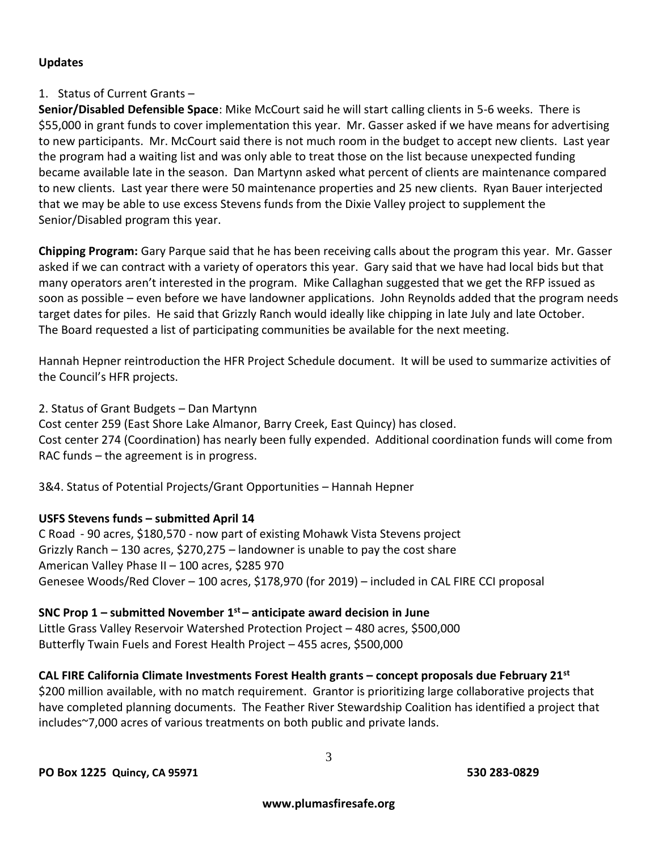#### **Updates**

#### 1. Status of Current Grants –

**Senior/Disabled Defensible Space**: Mike McCourt said he will start calling clients in 5-6 weeks. There is \$55,000 in grant funds to cover implementation this year. Mr. Gasser asked if we have means for advertising to new participants. Mr. McCourt said there is not much room in the budget to accept new clients. Last year the program had a waiting list and was only able to treat those on the list because unexpected funding became available late in the season. Dan Martynn asked what percent of clients are maintenance compared to new clients. Last year there were 50 maintenance properties and 25 new clients. Ryan Bauer interjected that we may be able to use excess Stevens funds from the Dixie Valley project to supplement the Senior/Disabled program this year.

**Chipping Program:** Gary Parque said that he has been receiving calls about the program this year. Mr. Gasser asked if we can contract with a variety of operators this year. Gary said that we have had local bids but that many operators aren't interested in the program. Mike Callaghan suggested that we get the RFP issued as soon as possible – even before we have landowner applications. John Reynolds added that the program needs target dates for piles. He said that Grizzly Ranch would ideally like chipping in late July and late October. The Board requested a list of participating communities be available for the next meeting.

Hannah Hepner reintroduction the HFR Project Schedule document. It will be used to summarize activities of the Council's HFR projects.

2. Status of Grant Budgets – Dan Martynn

Cost center 259 (East Shore Lake Almanor, Barry Creek, East Quincy) has closed. Cost center 274 (Coordination) has nearly been fully expended. Additional coordination funds will come from RAC funds – the agreement is in progress.

3&4. Status of Potential Projects/Grant Opportunities – Hannah Hepner

#### **USFS Stevens funds – submitted April 14**

C Road - 90 acres, \$180,570 - now part of existing Mohawk Vista Stevens project Grizzly Ranch – 130 acres, \$270,275 – landowner is unable to pay the cost share American Valley Phase II – 100 acres, \$285 970 Genesee Woods/Red Clover – 100 acres, \$178,970 (for 2019) – included in CAL FIRE CCI proposal

#### **SNC Prop 1 – submitted November 1 st – anticipate award decision in June**

Little Grass Valley Reservoir Watershed Protection Project – 480 acres, \$500,000 Butterfly Twain Fuels and Forest Health Project – 455 acres, \$500,000

#### **CAL FIRE California Climate Investments Forest Health grants – concept proposals due February 21st**

\$200 million available, with no match requirement. Grantor is prioritizing large collaborative projects that have completed planning documents. The Feather River Stewardship Coalition has identified a project that includes~7,000 acres of various treatments on both public and private lands.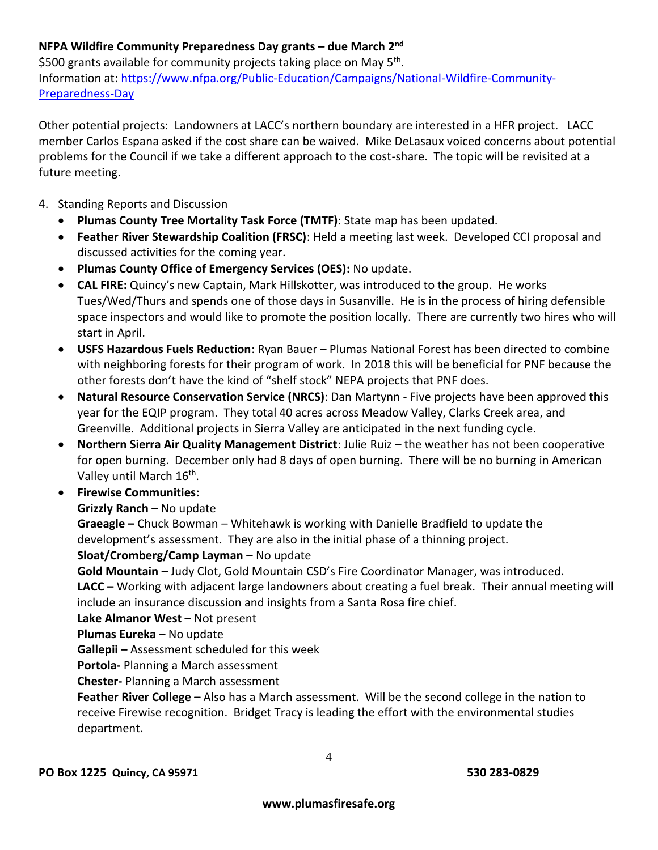# **NFPA Wildfire Community Preparedness Day grants – due March 2nd**

\$500 grants available for community projects taking place on May 5<sup>th</sup>. Information at: [https://www.nfpa.org/Public-Education/Campaigns/National-Wildfire-Community-](https://www.nfpa.org/Public-Education/Campaigns/National-Wildfire-Community-Preparedness-Day)[Preparedness-Day](https://www.nfpa.org/Public-Education/Campaigns/National-Wildfire-Community-Preparedness-Day)

Other potential projects: Landowners at LACC's northern boundary are interested in a HFR project. LACC member Carlos Espana asked if the cost share can be waived. Mike DeLasaux voiced concerns about potential problems for the Council if we take a different approach to the cost-share. The topic will be revisited at a future meeting.

- 4. Standing Reports and Discussion
	- **Plumas County Tree Mortality Task Force (TMTF)**: State map has been updated.
	- **Feather River Stewardship Coalition (FRSC)**: Held a meeting last week. Developed CCI proposal and discussed activities for the coming year.
	- **Plumas County Office of Emergency Services (OES):** No update.
	- **CAL FIRE:** Quincy's new Captain, Mark Hillskotter, was introduced to the group. He works Tues/Wed/Thurs and spends one of those days in Susanville. He is in the process of hiring defensible space inspectors and would like to promote the position locally. There are currently two hires who will start in April.
	- **USFS Hazardous Fuels Reduction**: Ryan Bauer Plumas National Forest has been directed to combine with neighboring forests for their program of work. In 2018 this will be beneficial for PNF because the other forests don't have the kind of "shelf stock" NEPA projects that PNF does.
	- **Natural Resource Conservation Service (NRCS)**: Dan Martynn Five projects have been approved this year for the EQIP program. They total 40 acres across Meadow Valley, Clarks Creek area, and Greenville. Additional projects in Sierra Valley are anticipated in the next funding cycle.
	- **Northern Sierra Air Quality Management District**: Julie Ruiz the weather has not been cooperative for open burning. December only had 8 days of open burning. There will be no burning in American Valley until March 16<sup>th</sup>.
	- **Firewise Communities:**

#### **Grizzly Ranch –** No update

**Graeagle –** Chuck Bowman – Whitehawk is working with Danielle Bradfield to update the development's assessment. They are also in the initial phase of a thinning project.

#### **Sloat/Cromberg/Camp Layman** – No update

**Gold Mountain** – Judy Clot, Gold Mountain CSD's Fire Coordinator Manager, was introduced.

**LACC –** Working with adjacent large landowners about creating a fuel break. Their annual meeting will include an insurance discussion and insights from a Santa Rosa fire chief.

#### **Lake Almanor West - Not present**

#### **Plumas Eureka** – No update

**Gallepii –** Assessment scheduled for this week

**Portola-** Planning a March assessment

**Chester-** Planning a March assessment

**Feather River College –** Also has a March assessment. Will be the second college in the nation to receive Firewise recognition. Bridget Tracy is leading the effort with the environmental studies department.